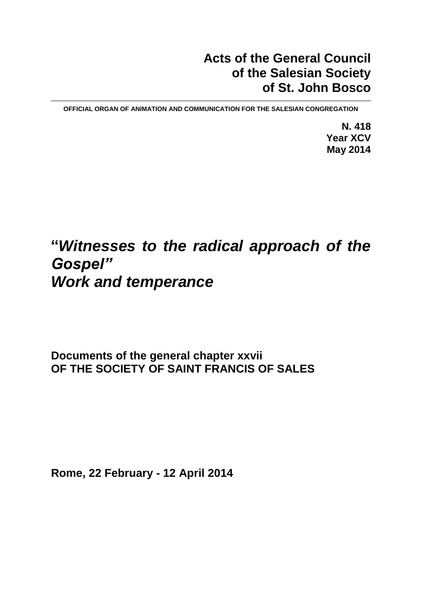### **Acts of the General Council of the Salesian Society of St. John Bosco**

**OFFICIAL ORGAN OF ANIMATION AND COMMUNICATION FOR THE SALESIAN CONGREGATION**

**N. 418 Year XCV May 2014**

# **"***Witnesses to the radical approach of the Gospel" Work and temperance*

**Documents of the general chapter xxvii OF THE SOCIETY OF SAINT FRANCIS OF SALES**

**Rome, 22 February - 12 April 2014**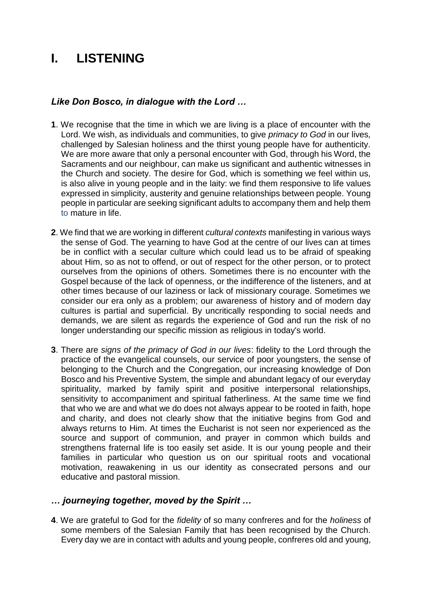## **I. LISTENING**

#### *Like Don Bosco, in dialogue with the Lord …*

- **1**. We recognise that the time in which we are living is a place of encounter with the Lord. We wish, as individuals and communities, to give *primacy to God* in our lives*,* challenged by Salesian holiness and the thirst young people have for authenticity. We are more aware that only a personal encounter with God, through his Word, the Sacraments and our neighbour, can make us significant and authentic witnesses in the Church and society. The desire for God, which is something we feel within us, is also alive in young people and in the laity: we find them responsive to life values expressed in simplicity, austerity and genuine relationships between people. Young people in particular are seeking significant adults to accompany them and help them to mature in life.
- **2**. We find that we are working in different *cultural contexts* manifesting in various ways the sense of God. The yearning to have God at the centre of our lives can at times be in conflict with a secular culture which could lead us to be afraid of speaking about Him, so as not to offend, or out of respect for the other person, or to protect ourselves from the opinions of others. Sometimes there is no encounter with the Gospel because of the lack of openness, or the indifference of the listeners, and at other times because of our laziness or lack of missionary courage. Sometimes we consider our era only as a problem; our awareness of history and of modern day cultures is partial and superficial. By uncritically responding to social needs and demands, we are silent as regards the experience of God and run the risk of no longer understanding our specific mission as religious in today's world.
- **3**. There are *signs of the primacy of God in our lives*: fidelity to the Lord through the practice of the evangelical counsels, our service of poor youngsters, the sense of belonging to the Church and the Congregation, our increasing knowledge of Don Bosco and his Preventive System, the simple and abundant legacy of our everyday spirituality, marked by family spirit and positive interpersonal relationships, sensitivity to accompaniment and spiritual fatherliness. At the same time we find that who we are and what we do does not always appear to be rooted in faith, hope and charity, and does not clearly show that the initiative begins from God and always returns to Him. At times the Eucharist is not seen nor experienced as the source and support of communion, and prayer in common which builds and strengthens fraternal life is too easily set aside. It is our young people and their families in particular who question us on our spiritual roots and vocational motivation, reawakening in us our identity as consecrated persons and our educative and pastoral mission.

#### *… journeying together, moved by the Spirit …*

**4**. We are grateful to God for the *fidelity* of so many confreres and for the *holiness* of some members of the Salesian Family that has been recognised by the Church. Every day we are in contact with adults and young people, confreres old and young,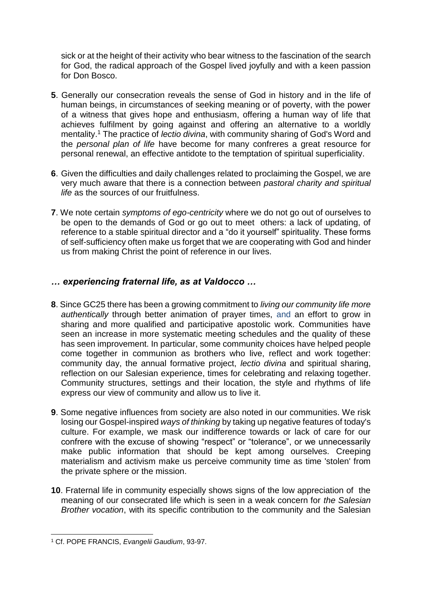sick or at the height of their activity who bear witness to the fascination of the search for God, the radical approach of the Gospel lived joyfully and with a keen passion for Don Bosco.

- **5**. Generally our consecration reveals the sense of God in history and in the life of human beings, in circumstances of seeking meaning or of poverty, with the power of a witness that gives hope and enthusiasm, offering a human way of life that achieves fulfilment by going against and offering an alternative to a worldly mentality. <sup>1</sup> The practice of *lectio divina*, with community sharing of God's Word and the *personal plan of life* have become for many confreres a great resource for personal renewal, an effective antidote to the temptation of spiritual superficiality.
- **6**. Given the difficulties and daily challenges related to proclaiming the Gospel, we are very much aware that there is a connection between *pastoral charity and spiritual life* as the sources of our fruitfulness.
- **7**. We note certain *symptoms of ego-centricity* where we do not go out of ourselves to be open to the demands of God or go out to meet others: a lack of updating, of reference to a stable spiritual director and a "do it yourself" spirituality. These forms of self-sufficiency often make us forget that we are cooperating with God and hinder us from making Christ the point of reference in our lives.

#### *… experiencing fraternal life, as at Valdocco …*

- **8**. Since GC25 there has been a growing commitment to *living our community life more authentically* through better animation of prayer times, and an effort to grow in sharing and more qualified and participative apostolic work. Communities have seen an increase in more systematic meeting schedules and the quality of these has seen improvement. In particular, some community choices have helped people come together in communion as brothers who live, reflect and work together: community day, the annual formative project, *lectio divina* and spiritual sharing, reflection on our Salesian experience, times for celebrating and relaxing together. Community structures, settings and their location, the style and rhythms of life express our view of community and allow us to live it.
- **9**. Some negative influences from society are also noted in our communities. We risk losing our Gospel-inspired *ways of thinking* by taking up negative features of today's culture. For example, we mask our indifference towards or lack of care for our confrere with the excuse of showing "respect" or "tolerance", or we unnecessarily make public information that should be kept among ourselves. Creeping materialism and activism make us perceive community time as time 'stolen' from the private sphere or the mission.
- **10**. Fraternal life in community especially shows signs of the low appreciation of the meaning of our consecrated life which is seen in a weak concern for *the Salesian Brother vocation*, with its specific contribution to the community and the Salesian

 $\overline{a}$ <sup>1</sup> Cf. POPE FRANCIS, *Evangelii Gaudium*, 93-97.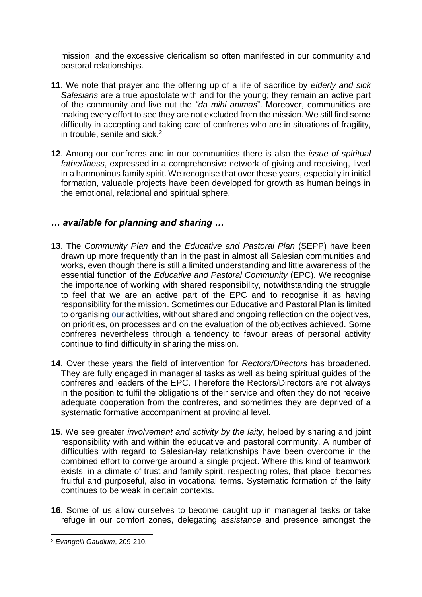mission, and the excessive clericalism so often manifested in our community and pastoral relationships.

- **11**. We note that prayer and the offering up of a life of sacrifice by *elderly and sick Salesians* are a true apostolate with and for the young; they remain an active part of the community and live out the *"da mihi animas*". Moreover, communities are making every effort to see they are not excluded from the mission. We still find some difficulty in accepting and taking care of confreres who are in situations of fragility, in trouble, senile and sick.<sup>2</sup>
- **12**. Among our confreres and in our communities there is also the *issue of spiritual fatherliness*, expressed in a comprehensive network of giving and receiving, lived in a harmonious family spirit. We recognise that over these years, especially in initial formation, valuable projects have been developed for growth as human beings in the emotional, relational and spiritual sphere.

#### *… available for planning and sharing …*

- **13**. The *Community Plan* and the *Educative and Pastoral Plan* (SEPP) have been drawn up more frequently than in the past in almost all Salesian communities and works, even though there is still a limited understanding and little awareness of the essential function of the *Educative and Pastoral Community* (EPC). We recognise the importance of working with shared responsibility, notwithstanding the struggle to feel that we are an active part of the EPC and to recognise it as having responsibility for the mission. Sometimes our Educative and Pastoral Plan is limited to organising our activities, without shared and ongoing reflection on the objectives, on priorities, on processes and on the evaluation of the objectives achieved. Some confreres nevertheless through a tendency to favour areas of personal activity continue to find difficulty in sharing the mission.
- **14**. Over these years the field of intervention for *Rectors/Directors* has broadened. They are fully engaged in managerial tasks as well as being spiritual guides of the confreres and leaders of the EPC. Therefore the Rectors/Directors are not always in the position to fulfil the obligations of their service and often they do not receive adequate cooperation from the confreres, and sometimes they are deprived of a systematic formative accompaniment at provincial level.
- **15**. We see greater *involvement and activity by the laity*, helped by sharing and joint responsibility with and within the educative and pastoral community. A number of difficulties with regard to Salesian-lay relationships have been overcome in the combined effort to converge around a single project. Where this kind of teamwork exists, in a climate of trust and family spirit, respecting roles, that place becomes fruitful and purposeful, also in vocational terms. Systematic formation of the laity continues to be weak in certain contexts.
- **16**. Some of us allow ourselves to become caught up in managerial tasks or take refuge in our comfort zones, delegating *assistance* and presence amongst the

 $\overline{a}$ <sup>2</sup> *Evangelii Gaudium*, 209-210.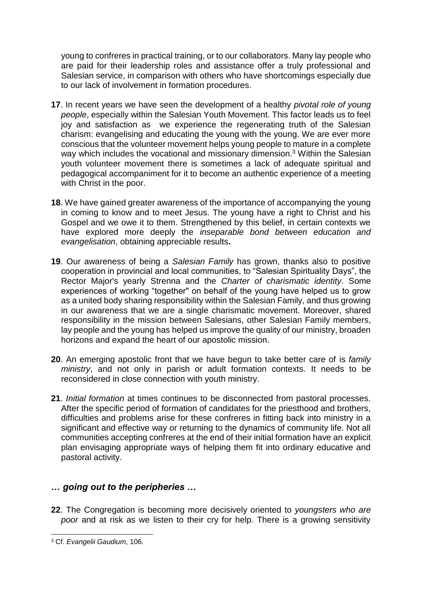young to confreres in practical training, or to our collaborators. Many lay people who are paid for their leadership roles and assistance offer a truly professional and Salesian service, in comparison with others who have shortcomings especially due to our lack of involvement in formation procedures.

- **17**. In recent years we have seen the development of a healthy *pivotal role of young people*, especially within the Salesian Youth Movement. This factor leads us to feel joy and satisfaction as we experience the regenerating truth of the Salesian charism: evangelising and educating the young with the young. We are ever more conscious that the volunteer movement helps young people to mature in a complete way which includes the vocational and missionary dimension.<sup>3</sup> Within the Salesian youth volunteer movement there is sometimes a lack of adequate spiritual and pedagogical accompaniment for it to become an authentic experience of a meeting with Christ in the poor.
- **18**. We have gained greater awareness of the importance of accompanying the young in coming to know and to meet Jesus. The young have a right to Christ and his Gospel and we owe it to them. Strengthened by this belief, in certain contexts we have explored more deeply the *inseparable bond between education and evangelisation*, obtaining appreciable results**.**
- **19**. Our awareness of being a *Salesian Family* has grown, thanks also to positive cooperation in provincial and local communities, to "Salesian Spirituality Days", the Rector Major's yearly Strenna and the *Charter of charismatic identity*. Some experiences of working "together" on behalf of the young have helped us to grow as a united body sharing responsibility within the Salesian Family, and thus growing in our awareness that we are a single charismatic movement. Moreover, shared responsibility in the mission between Salesians, other Salesian Family members, lay people and the young has helped us improve the quality of our ministry, broaden horizons and expand the heart of our apostolic mission.
- **20**. An emerging apostolic front that we have begun to take better care of is *family ministry*, and not only in parish or adult formation contexts. It needs to be reconsidered in close connection with youth ministry.
- **21**. *Initial formation* at times continues to be disconnected from pastoral processes. After the specific period of formation of candidates for the priesthood and brothers, difficulties and problems arise for these confreres in fitting back into ministry in a significant and effective way or returning to the dynamics of community life. Not all communities accepting confreres at the end of their initial formation have an explicit plan envisaging appropriate ways of helping them fit into ordinary educative and pastoral activity.

#### *… going out to the peripheries …*

**22**. The Congregation is becoming more decisively oriented to *youngsters who are poor* and at risk as we listen to their cry for help. There is a growing sensitivity

 $\overline{a}$ <sup>3</sup> Cf. *Evangelii Gaudium*, 106.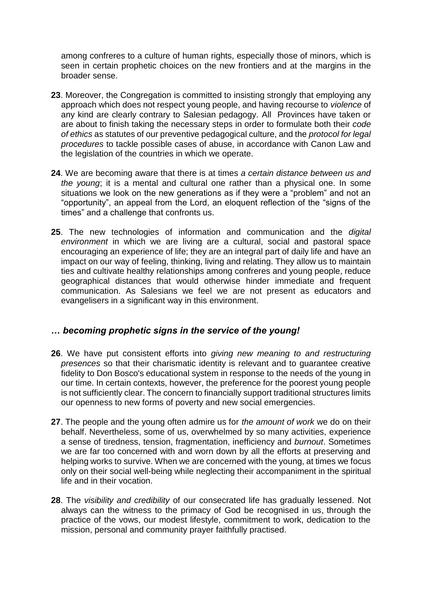among confreres to a culture of human rights, especially those of minors, which is seen in certain prophetic choices on the new frontiers and at the margins in the broader sense.

- **23**. Moreover, the Congregation is committed to insisting strongly that employing any approach which does not respect young people, and having recourse to *violence* of any kind are clearly contrary to Salesian pedagogy. All Provinces have taken or are about to finish taking the necessary steps in order to formulate both their *code of ethics* as statutes of our preventive pedagogical culture, and the *protocol for legal procedures* to tackle possible cases of abuse, in accordance with Canon Law and the legislation of the countries in which we operate.
- **24**. We are becoming aware that there is at times *a certain distance between us and the young*; it is a mental and cultural one rather than a physical one. In some situations we look on the new generations as if they were a "problem" and not an "opportunity", an appeal from the Lord, an eloquent reflection of the "signs of the times" and a challenge that confronts us.
- **25**. The new technologies of information and communication and the *digital environment* in which we are living are a cultural, social and pastoral space encouraging an experience of life; they are an integral part of daily life and have an impact on our way of feeling, thinking, living and relating. They allow us to maintain ties and cultivate healthy relationships among confreres and young people, reduce geographical distances that would otherwise hinder immediate and frequent communication. As Salesians we feel we are not present as educators and evangelisers in a significant way in this environment.

#### *… becoming prophetic signs in the service of the young!*

- **26**. We have put consistent efforts into *giving new meaning to and restructuring presences* so that their charismatic identity is relevant and to guarantee creative fidelity to Don Bosco's educational system in response to the needs of the young in our time. In certain contexts, however, the preference for the poorest young people is not sufficiently clear. The concern to financially support traditional structures limits our openness to new forms of poverty and new social emergencies.
- **27**. The people and the young often admire us for *the amount of work* we do on their behalf. Nevertheless, some of us, overwhelmed by so many activities, experience a sense of tiredness, tension, fragmentation, inefficiency and *burnout*. Sometimes we are far too concerned with and worn down by all the efforts at preserving and helping works to survive. When we are concerned with the young, at times we focus only on their social well-being while neglecting their accompaniment in the spiritual life and in their vocation.
- **28**. The *visibility and credibility* of our consecrated life has gradually lessened. Not always can the witness to the primacy of God be recognised in us, through the practice of the vows, our modest lifestyle, commitment to work, dedication to the mission, personal and community prayer faithfully practised.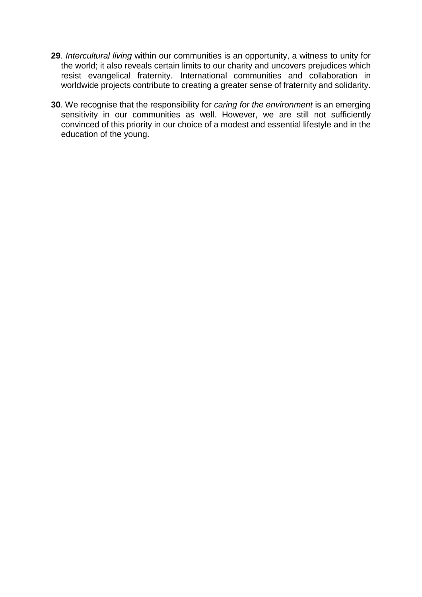- **29**. *Intercultural living* within our communities is an opportunity, a witness to unity for the world; it also reveals certain limits to our charity and uncovers prejudices which resist evangelical fraternity. International communities and collaboration in worldwide projects contribute to creating a greater sense of fraternity and solidarity.
- **30**. We recognise that the responsibility for *caring for the environment* is an emerging sensitivity in our communities as well. However, we are still not sufficiently convinced of this priority in our choice of a modest and essential lifestyle and in the education of the young.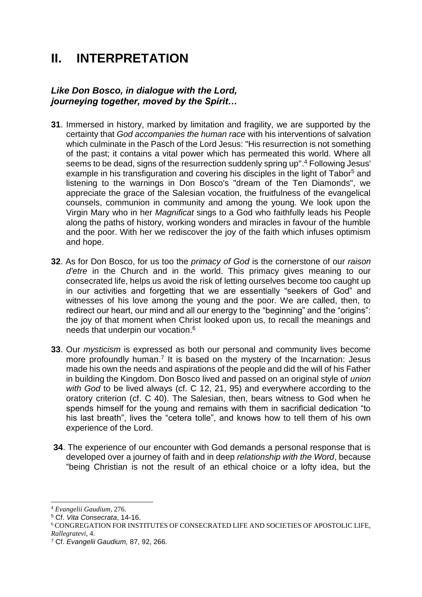## **II. INTERPRETATION**

#### *Like Don Bosco, in dialogue with the Lord, journeying together, moved by the Spirit…*

- **31**. Immersed in history, marked by limitation and fragility, we are supported by the certainty that *God accompanies the human race* with his interventions of salvation which culminate in the Pasch of the Lord Jesus: "His resurrection is not something of the past; it contains a vital power which has permeated this world. Where all seems to be dead, signs of the resurrection suddenly spring up". <sup>4</sup> Following Jesus' example in his transfiguration and covering his disciples in the light of Tabor<sup>5</sup> and listening to the warnings in Don Bosco's "dream of the Ten Diamonds", we appreciate the grace of the Salesian vocation, the fruitfulness of the evangelical counsels, communion in community and among the young. We look upon the Virgin Mary who in her *Magnificat* sings to a God who faithfully leads his People along the paths of history, working wonders and miracles in favour of the humble and the poor. With her we rediscover the joy of the faith which infuses optimism and hope.
- **32**. As for Don Bosco, for us too the *primacy of God* is the cornerstone of our *raison d'etre* in the Church and in the world. This primacy gives meaning to our consecrated life, helps us avoid the risk of letting ourselves become too caught up in our activities and forgetting that we are essentially "seekers of God" and witnesses of his love among the young and the poor. We are called, then, to redirect our heart, our mind and all our energy to the "beginning" and the "origins": the joy of that moment when Christ looked upon us, to recall the meanings and needs that underpin our vocation. 6
- **33**. Our *mysticism* is expressed as both our personal and community lives become more profoundly human.<sup>7</sup> It is based on the mystery of the Incarnation: Jesus made his own the needs and aspirations of the people and did the will of his Father in building the Kingdom. Don Bosco lived and passed on an original style of *union with God* to be lived always (cf. C 12, 21, 95) and everywhere according to the oratory criterion (cf. C 40). The Salesian, then, bears witness to God when he spends himself for the young and remains with them in sacrificial dedication "to his last breath", lives the "cetera tolle", and knows how to tell them of his own experience of the Lord.
- **34**. The experience of our encounter with God demands a personal response that is developed over a journey of faith and in deep *relationship with the Word*, because "being Christian is not the result of an ethical choice or a lofty idea, but the

<sup>4</sup> *Evangelii Gaudium*, 276.

<sup>5</sup> Cf. *Vita Consecrata*, 14-16.

<sup>6</sup> CONGREGATION FOR INSTITUTES OF CONSECRATED LIFE AND SOCIETIES OF APOSTOLIC LIFE, *Rallegratevi*, 4.

<sup>7</sup> Cf. *Evangelii Gaudium,* 87, 92, 266.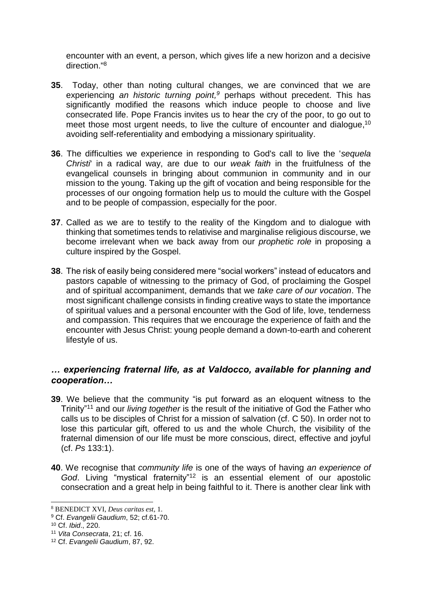encounter with an event, a person, which gives life a new horizon and a decisive direction."<sup>8</sup>

- **35**. Today, other than noting cultural changes, we are convinced that we are experiencing an historic turning point,<sup>9</sup> perhaps without precedent. This has significantly modified the reasons which induce people to choose and live consecrated life. Pope Francis invites us to hear the cry of the poor, to go out to meet those most urgent needs, to live the culture of encounter and dialogue,<sup>10</sup> avoiding self-referentiality and embodying a missionary spirituality.
- **36**. The difficulties we experience in responding to God's call to live the '*sequela Christi*' in a radical way, are due to our *weak faith* in the fruitfulness of the evangelical counsels in bringing about communion in community and in our mission to the young. Taking up the gift of vocation and being responsible for the processes of our ongoing formation help us to mould the culture with the Gospel and to be people of compassion, especially for the poor.
- **37**. Called as we are to testify to the reality of the Kingdom and to dialogue with thinking that sometimes tends to relativise and marginalise religious discourse, we become irrelevant when we back away from our *prophetic role* in proposing a culture inspired by the Gospel.
- **38**. The risk of easily being considered mere "social workers" instead of educators and pastors capable of witnessing to the primacy of God, of proclaiming the Gospel and of spiritual accompaniment, demands that we *take care of our vocation*. The most significant challenge consists in finding creative ways to state the importance of spiritual values and a personal encounter with the God of life, love, tenderness and compassion. This requires that we encourage the experience of faith and the encounter with Jesus Christ: young people demand a down-to-earth and coherent lifestyle of us.

#### *… experiencing fraternal life, as at Valdocco, available for planning and cooperation…*

- **39**. We believe that the community "is put forward as an eloquent witness to the Trinity"<sup>11</sup> and our *living together* is the result of the initiative of God the Father who calls us to be disciples of Christ for a mission of salvation (cf. C 50). In order not to lose this particular gift, offered to us and the whole Church, the visibility of the fraternal dimension of our life must be more conscious, direct, effective and joyful (cf. *Ps* 133:1).
- **40**. We recognise that *community life* is one of the ways of having *an experience of God*. Living "mystical fraternity"<sup>12</sup> is an essential element of our apostolic consecration and a great help in being faithful to it. There is another clear link with

<sup>8</sup> BENEDICT XVI, *Deus caritas est*, 1.

<sup>9</sup> Cf. *Evangelii Gaudium*, 52; cf.61-70.

<sup>10</sup> Cf. *Ibid*., 220.

<sup>11</sup> *Vita Consecrata*, 21; cf. 16.

<sup>12</sup> Cf. *Evangelii Gaudium*, 87, 92.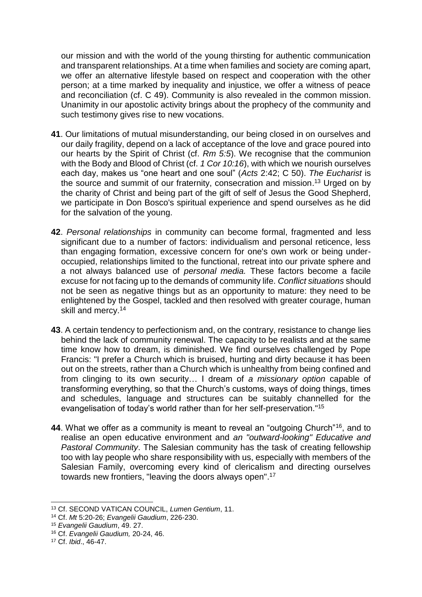our mission and with the world of the young thirsting for authentic communication and transparent relationships. At a time when families and society are coming apart, we offer an alternative lifestyle based on respect and cooperation with the other person; at a time marked by inequality and injustice, we offer a witness of peace and reconciliation (cf. C 49). Community is also revealed in the common mission. Unanimity in our apostolic activity brings about the prophecy of the community and such testimony gives rise to new vocations.

- **41**. Our limitations of mutual misunderstanding, our being closed in on ourselves and our daily fragility, depend on a lack of acceptance of the love and grace poured into our hearts by the Spirit of Christ (cf. *Rm 5:5*). We recognise that the communion with the Body and Blood of Christ (cf. *1 Cor 10:16*), with which we nourish ourselves each day, makes us "one heart and one soul" (*Acts* 2:42; C 50). *The Eucharist* is the source and summit of our fraternity, consecration and mission. <sup>13</sup> Urged on by the charity of Christ and being part of the gift of self of Jesus the Good Shepherd, we participate in Don Bosco's spiritual experience and spend ourselves as he did for the salvation of the young.
- **42**. *Personal relationships* in community can become formal, fragmented and less significant due to a number of factors: individualism and personal reticence, less than engaging formation, excessive concern for one's own work or being underoccupied, relationships limited to the functional, retreat into our private sphere and a not always balanced use of *personal media.* These factors become a facile excuse for not facing up to the demands of community life. *Conflict situations* should not be seen as negative things but as an opportunity to mature: they need to be enlightened by the Gospel, tackled and then resolved with greater courage, human skill and mercy.<sup>14</sup>
- **43**. A certain tendency to perfectionism and, on the contrary, resistance to change lies behind the lack of community renewal. The capacity to be realists and at the same time know how to dream, is diminished. We find ourselves challenged by Pope Francis: "I prefer a Church which is bruised, hurting and dirty because it has been out on the streets, rather than a Church which is unhealthy from being confined and from clinging to its own security… I dream of *a missionary option* capable of transforming everything, so that the Church's customs, ways of doing things, times and schedules, language and structures can be suitably channelled for the evangelisation of today's world rather than for her self-preservation."<sup>15</sup>
- **44**. What we offer as a community is meant to reveal an "outgoing Church"<sup>16</sup>, and to realise an open educative environment and *an "outward-looking" Educative and Pastoral Community*. The Salesian community has the task of creating fellowship too with lay people who share responsibility with us, especially with members of the Salesian Family, overcoming every kind of clericalism and directing ourselves towards new frontiers, "leaving the doors always open".<sup>17</sup>

<sup>13</sup> Cf. SECOND VATICAN COUNCIL, *Lumen Gentium*, 11.

<sup>14</sup> Cf. *Mt* 5:20-26; *Evangelii Gaudium*, 226-230.

<sup>15</sup> *Evangelii Gaudium*, 49. 27.

<sup>16</sup> Cf. *Evangelii Gaudium,* 20-24, 46.

<sup>17</sup> Cf. *Ibid*., 46-47.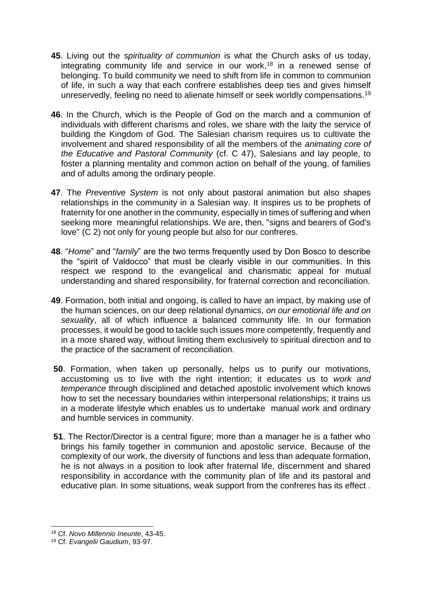- **45**. Living out the *spirituality of communion* is what the Church asks of us today, integrating community life and service in our work, <sup>18</sup> in a renewed sense of belonging. To build community we need to shift from life in common to communion of life, in such a way that each confrere establishes deep ties and gives himself unreservedly, feeling no need to alienate himself or seek worldly compensations.<sup>19</sup>
- **46**. In the Church, which is the People of God on the march and a communion of individuals with different charisms and roles, we share with the laity the service of building the Kingdom of God. The Salesian charism requires us to cultivate the involvement and shared responsibility of all the members of the *animating core of the Educative and Pastoral Community* (cf. C 47), Salesians and lay people, to foster a planning mentality and common action on behalf of the young, of families and of adults among the ordinary people.
- **47**. The *Preventive System* is not only about pastoral animation but also shapes relationships in the community in a Salesian way. It inspires us to be prophets of fraternity for one another in the community, especially in times of suffering and when seeking more meaningful relationships. We are, then, "signs and bearers of God's love" (C 2) not only for young people but also for our confreres.
- **48**. "*Home*" and "*family*" are the two terms frequently used by Don Bosco to describe the "spirit of Valdocco" that must be clearly visible in our communities. In this respect we respond to the evangelical and charismatic appeal for mutual understanding and shared responsibility, for fraternal correction and reconciliation.
- **49**. Formation, both initial and ongoing, is called to have an impact, by making use of the human sciences, on our deep relational dynamics, *on our emotional life and on sexuality*, all of which influence a balanced community life. In our formation processes, it would be good to tackle such issues more competently, frequently and in a more shared way, without limiting them exclusively to spiritual direction and to the practice of the sacrament of reconciliation.
- **50**. Formation, when taken up personally, helps us to purify our motivations, accustoming us to live with the right intention; it educates us to *work and temperance* through disciplined and detached apostolic involvement which knows how to set the necessary boundaries within interpersonal relationships; it trains us in a moderate lifestyle which enables us to undertake manual work and ordinary and humble services in community.
- **51**. The Rector/Director is a central figure; more than a manager he is a father who brings his family together in communion and apostolic service. Because of the complexity of our work, the diversity of functions and less than adequate formation, he is not always in a position to look after fraternal life, discernment and shared responsibility in accordance with the community plan of life and its pastoral and educative plan. In some situations, weak support from the confreres has its effect .

<sup>18</sup> Cf. *Novo Millennio Ineunte*, 43-45.

<sup>19</sup> Cf. *Evangelii Gaudium*, 93-97.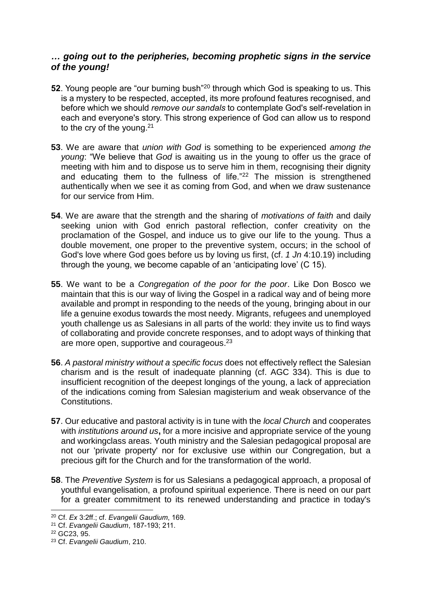#### *… going out to the peripheries, becoming prophetic signs in the service of the young!*

- **52**. Young people are "our burning bush"<sup>20</sup> through which God is speaking to us. This is a mystery to be respected, accepted, its more profound features recognised, and before which we should *remove our sandals* to contemplate God's self-revelation in each and everyone's story. This strong experience of God can allow us to respond to the cry of the young.<sup>21</sup>
- **53**. We are aware that *union with God* is something to be experienced *among the young*: "We believe that *God* is awaiting us in the young to offer us the grace of meeting with him and to dispose us to serve him in them, recognising their dignity and educating them to the fullness of life."<sup>22</sup> The mission is strengthened authentically when we see it as coming from God, and when we draw sustenance for our service from Him.
- **54**. We are aware that the strength and the sharing of *motivations of faith* and daily seeking union with God enrich pastoral reflection, confer creativity on the proclamation of the Gospel, and induce us to give our life to the young. Thus a double movement, one proper to the preventive system, occurs; in the school of God's love where God goes before us by loving us first, (cf. *1 Jn* 4:10.19) including through the young, we become capable of an 'anticipating love' (C 15).
- **55**. We want to be a *Congregation of the poor for the poor*. Like Don Bosco we maintain that this is our way of living the Gospel in a radical way and of being more available and prompt in responding to the needs of the young, bringing about in our life a genuine exodus towards the most needy. Migrants, refugees and unemployed youth challenge us as Salesians in all parts of the world: they invite us to find ways of collaborating and provide concrete responses, and to adopt ways of thinking that are more open, supportive and courageous.<sup>23</sup>
- **56**. *A pastoral ministry without a specific focus* does not effectively reflect the Salesian charism and is the result of inadequate planning (cf. AGC 334). This is due to insufficient recognition of the deepest longings of the young, a lack of appreciation of the indications coming from Salesian magisterium and weak observance of the Constitutions.
- **57**. Our educative and pastoral activity is in tune with the *local Church* and cooperates with *institutions around us***,** for a more incisive and appropriate service of the young and workingclass areas. Youth ministry and the Salesian pedagogical proposal are not our 'private property' nor for exclusive use within our Congregation, but a precious gift for the Church and for the transformation of the world.
- **58**. The *Preventive System* is for us Salesians a pedagogical approach, a proposal of youthful evangelisation, a profound spiritual experience. There is need on our part for a greater commitment to its renewed understanding and practice in today's

<sup>20</sup> Cf. *Ex* 3:2ff.; cf. *Evangelii Gaudium*, 169.

<sup>21</sup> Cf. *Evangelii Gaudium*, 187-193; 211.

<sup>22</sup> GC23, 95.

<sup>23</sup> Cf. *Evangelii Gaudium*, 210.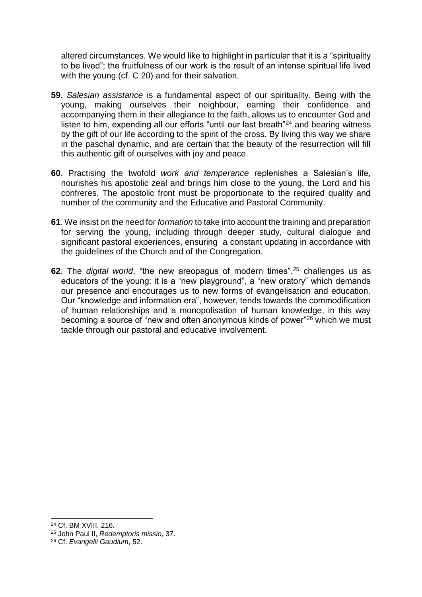altered circumstances. We would like to highlight in particular that it is a "spirituality to be lived"; the fruitfulness of our work is the result of an intense spiritual life lived with the young (cf. C 20) and for their salvation.

- **59**. *Salesian assistance* is a fundamental aspect of our spirituality. Being with the young, making ourselves their neighbour, earning their confidence and accompanying them in their allegiance to the faith, allows us to encounter God and listen to him, expending all our efforts "until our last breath"<sup>24</sup> and bearing witness by the gift of our life according to the spirit of the cross. By living this way we share in the paschal dynamic, and are certain that the beauty of the resurrection will fill this authentic gift of ourselves with joy and peace.
- **60**. Practising the twofold *work and temperance* replenishes a Salesian's life, nourishes his apostolic zeal and brings him close to the young, the Lord and his confreres. The apostolic front must be proportionate to the required quality and number of the community and the Educative and Pastoral Community.
- **61**. We insist on the need for *formation* to take into account the training and preparation for serving the young, including through deeper study, cultural dialogue and significant pastoral experiences, ensuring a constant updating in accordance with the guidelines of the Church and of the Congregation.
- **62**. The *digital world*, "the new areopagus of modern times", <sup>25</sup> challenges us as educators of the young: it is a "new playground", a "new oratory" which demands our presence and encourages us to new forms of evangelisation and education. Our "knowledge and information era", however, tends towards the commodification of human relationships and a monopolisation of human knowledge, in this way becoming a source of "new and often anonymous kinds of power"<sup>26</sup> which we must tackle through our pastoral and educative involvement.

 $\overline{a}$ 

<sup>24</sup> Cf. BM XVIII, 216.

<sup>25</sup> John Paul II, *Redemptoris missio*, 37.

<sup>26</sup> Cf. *Evangelii Gaudium*, 52.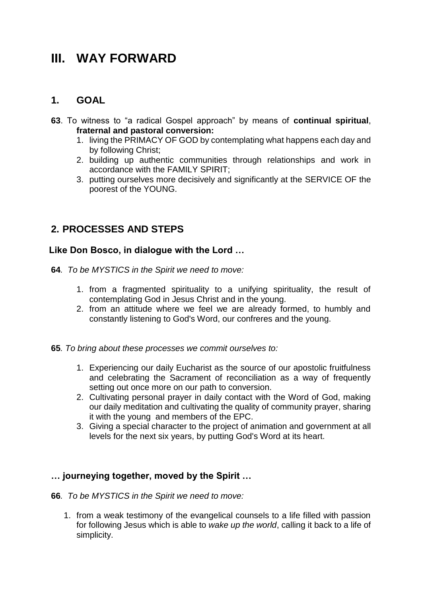## **III. WAY FORWARD**

### **1. GOAL**

- **63**. To witness to "a radical Gospel approach" by means of **continual spiritual**, **fraternal and pastoral conversion:**
	- 1. living the PRIMACY OF GOD by contemplating what happens each day and by following Christ;
	- 2. building up authentic communities through relationships and work in accordance with the FAMILY SPIRIT;
	- 3. putting ourselves more decisively and significantly at the SERVICE OF the poorest of the YOUNG.

### **2. PROCESSES AND STEPS**

#### **Like Don Bosco, in dialogue with the Lord …**

- **64***. To be MYSTICS in the Spirit we need to move:*
	- 1. from a fragmented spirituality to a unifying spirituality, the result of contemplating God in Jesus Christ and in the young.
	- 2. from an attitude where we feel we are already formed, to humbly and constantly listening to God's Word, our confreres and the young.
- **65***. To bring about these processes we commit ourselves to:*
	- 1. Experiencing our daily Eucharist as the source of our apostolic fruitfulness and celebrating the Sacrament of reconciliation as a way of frequently setting out once more on our path to conversion.
	- 2. Cultivating personal prayer in daily contact with the Word of God, making our daily meditation and cultivating the quality of community prayer, sharing it with the young and members of the EPC.
	- 3. Giving a special character to the project of animation and government at all levels for the next six years, by putting God's Word at its heart.

#### **… journeying together, moved by the Spirit …**

- **66***. To be MYSTICS in the Spirit we need to move:*
	- 1. from a weak testimony of the evangelical counsels to a life filled with passion for following Jesus which is able to *wake up the world*, calling it back to a life of simplicity.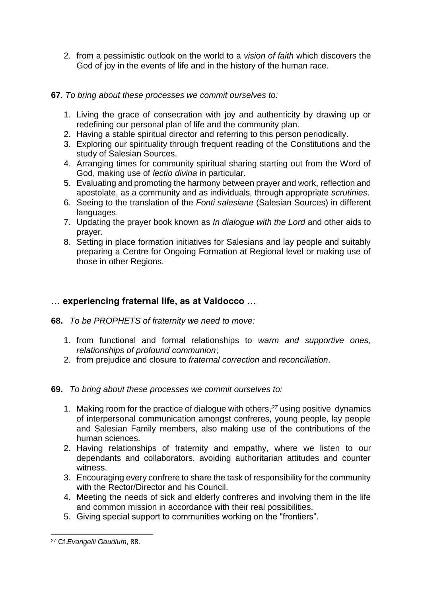2. from a pessimistic outlook on the world to a *vision of faith* which discovers the God of joy in the events of life and in the history of the human race.

#### **67***. To bring about these processes we commit ourselves to:*

- 1. Living the grace of consecration with joy and authenticity by drawing up or redefining our personal plan of life and the community plan.
- 2. Having a stable spiritual director and referring to this person periodically.
- 3. Exploring our spirituality through frequent reading of the Constitutions and the study of Salesian Sources.
- 4. Arranging times for community spiritual sharing starting out from the Word of God, making use of *lectio divina* in particular.
- 5. Evaluating and promoting the harmony between prayer and work, reflection and apostolate, as a community and as individuals, through appropriate *scrutinies*.
- 6. Seeing to the translation of the *Fonti salesiane* (Salesian Sources) in different languages.
- 7. Updating the prayer book known as *In dialogue with the Lord* and other aids to prayer.
- 8. Setting in place formation initiatives for Salesians and lay people and suitably preparing a Centre for Ongoing Formation at Regional level or making use of those in other Regions.

#### **… experiencing fraternal life, as at Valdocco …**

- **68.** *To be PROPHETS of fraternity we need to move:*
	- 1. from functional and formal relationships to *warm and supportive ones, relationships of profound communion*;
	- 2. from prejudice and closure to *fraternal correction* and *reconciliation*.
- **69.** *To bring about these processes we commit ourselves to:*
	- 1. Making room for the practice of dialogue with others, *<sup>27</sup>* using positive dynamics of interpersonal communication amongst confreres, young people, lay people and Salesian Family members, also making use of the contributions of the human sciences.
	- 2. Having relationships of fraternity and empathy, where we listen to our dependants and collaborators, avoiding authoritarian attitudes and counter witness.
	- 3. Encouraging every confrere to share the task of responsibility for the community with the Rector/Director and his Council.
	- 4. Meeting the needs of sick and elderly confreres and involving them in the life and common mission in accordance with their real possibilities.
	- 5. Giving special support to communities working on the "frontiers".

 $\overline{a}$ <sup>27</sup> Cf.*Evangelii Gaudium*, 88.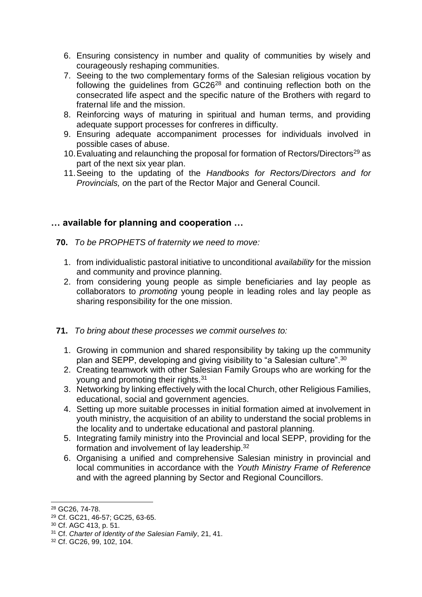- 6. Ensuring consistency in number and quality of communities by wisely and courageously reshaping communities.
- 7. Seeing to the two complementary forms of the Salesian religious vocation by following the guidelines from GC26<sup>28</sup> and continuing reflection both on the consecrated life aspect and the specific nature of the Brothers with regard to fraternal life and the mission.
- 8. Reinforcing ways of maturing in spiritual and human terms, and providing adequate support processes for confreres in difficulty.
- 9. Ensuring adequate accompaniment processes for individuals involved in possible cases of abuse.
- 10. Evaluating and relaunching the proposal for formation of Rectors/Directors<sup>29</sup> as part of the next six year plan.
- 11.Seeing to the updating of the *Handbooks for Rectors/Directors and for Provincials, o*n the part of the Rector Major and General Council.

#### **… available for planning and cooperation …**

- **70.** *To be PROPHETS of fraternity we need to move:*
	- 1. from individualistic pastoral initiative to unconditional *availability* for the mission and community and province planning.
	- 2. from considering young people as simple beneficiaries and lay people as collaborators to *promoting* young people in leading roles and lay people as sharing responsibility for the one mission.
- **71.** *To bring about these processes we commit ourselves to:*
	- 1. Growing in communion and shared responsibility by taking up the community plan and SEPP, developing and giving visibility to "a Salesian culture".<sup>30</sup>
	- 2. Creating teamwork with other Salesian Family Groups who are working for the young and promoting their rights.<sup>31</sup>
	- 3. Networking by linking effectively with the local Church, other Religious Families, educational, social and government agencies.
	- 4. Setting up more suitable processes in initial formation aimed at involvement in youth ministry, the acquisition of an ability to understand the social problems in the locality and to undertake educational and pastoral planning.
	- 5. Integrating family ministry into the Provincial and local SEPP, providing for the formation and involvement of lay leadership.<sup>32</sup>
	- 6. Organising a unified and comprehensive Salesian ministry in provincial and local communities in accordance with the *Youth Ministry Frame of Reference* and with the agreed planning by Sector and Regional Councillors.

<sup>-</sup><sup>28</sup> GC26, 74-78.

<sup>29</sup> Cf. GC21, 46-57; GC25, 63-65.

<sup>30</sup> Cf. AGC 413, p. 51.

<sup>31</sup> Cf. *Charter of Identity of the Salesian Family*, 21, 41.

<sup>32</sup> Cf. GC26, 99, 102, 104.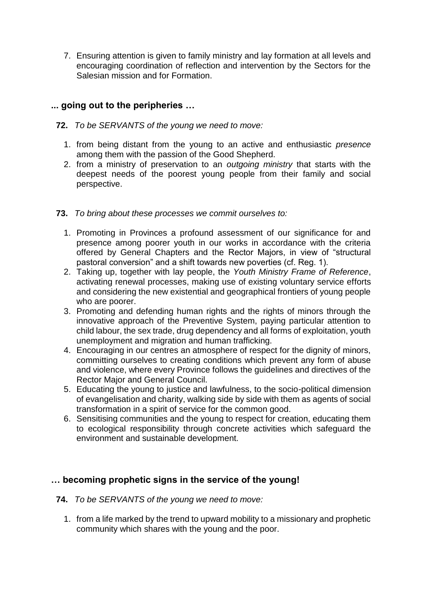7. Ensuring attention is given to family ministry and lay formation at all levels and encouraging coordination of reflection and intervention by the Sectors for the Salesian mission and for Formation.

#### **... going out to the peripheries …**

- **72.** *To be SERVANTS of the young we need to move:*
	- 1. from being distant from the young to an active and enthusiastic *presence* among them with the passion of the Good Shepherd.
	- 2. from a ministry of preservation to an *outgoing ministry* that starts with the deepest needs of the poorest young people from their family and social perspective.
- **73.** *To bring about these processes we commit ourselves to:*
	- 1. Promoting in Provinces a profound assessment of our significance for and presence among poorer youth in our works in accordance with the criteria offered by General Chapters and the Rector Majors, in view of "structural pastoral conversion" and a shift towards new poverties (cf. Reg. 1).
	- 2. Taking up, together with lay people, the *Youth Ministry Frame of Reference*, activating renewal processes, making use of existing voluntary service efforts and considering the new existential and geographical frontiers of young people who are poorer.
	- 3. Promoting and defending human rights and the rights of minors through the innovative approach of the Preventive System, paying particular attention to child labour, the sex trade, drug dependency and all forms of exploitation, youth unemployment and migration and human trafficking.
	- 4. Encouraging in our centres an atmosphere of respect for the dignity of minors, committing ourselves to creating conditions which prevent any form of abuse and violence, where every Province follows the guidelines and directives of the Rector Major and General Council.
	- 5. Educating the young to justice and lawfulness, to the socio-political dimension of evangelisation and charity, walking side by side with them as agents of social transformation in a spirit of service for the common good.
	- 6. Sensitising communities and the young to respect for creation, educating them to ecological responsibility through concrete activities which safeguard the environment and sustainable development.

#### **… becoming prophetic signs in the service of the young!**

- **74.** *To be SERVANTS of the young we need to move:*
	- 1. from a life marked by the trend to upward mobility to a missionary and prophetic community which shares with the young and the poor.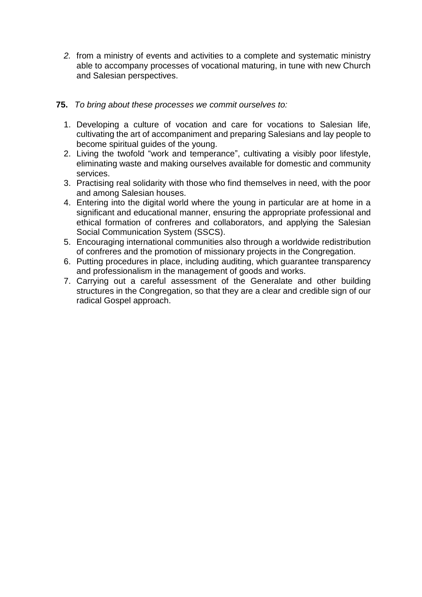- *2.* from a ministry of events and activities to a complete and systematic ministry able to accompany processes of vocational maturing, in tune with new Church and Salesian perspectives.
- **75.** *To bring about these processes we commit ourselves to:*
	- 1. Developing a culture of vocation and care for vocations to Salesian life, cultivating the art of accompaniment and preparing Salesians and lay people to become spiritual guides of the young.
	- 2. Living the twofold "work and temperance", cultivating a visibly poor lifestyle, eliminating waste and making ourselves available for domestic and community services.
	- 3. Practising real solidarity with those who find themselves in need, with the poor and among Salesian houses.
	- 4. Entering into the digital world where the young in particular are at home in a significant and educational manner, ensuring the appropriate professional and ethical formation of confreres and collaborators, and applying the Salesian Social Communication System (SSCS).
	- 5. Encouraging international communities also through a worldwide redistribution of confreres and the promotion of missionary projects in the Congregation.
	- 6. Putting procedures in place, including auditing, which guarantee transparency and professionalism in the management of goods and works.
	- 7. Carrying out a careful assessment of the Generalate and other building structures in the Congregation, so that they are a clear and credible sign of our radical Gospel approach.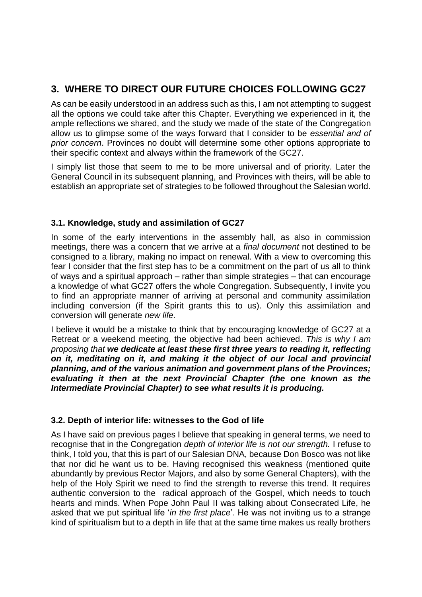### **3. WHERE TO DIRECT OUR FUTURE CHOICES FOLLOWING GC27**

As can be easily understood in an address such as this, I am not attempting to suggest all the options we could take after this Chapter. Everything we experienced in it, the ample reflections we shared, and the study we made of the state of the Congregation allow us to glimpse some of the ways forward that I consider to be *essential and of prior concern*. Provinces no doubt will determine some other options appropriate to their specific context and always within the framework of the GC27.

I simply list those that seem to me to be more universal and of priority. Later the General Council in its subsequent planning, and Provinces with theirs, will be able to establish an appropriate set of strategies to be followed throughout the Salesian world.

#### **3.1. Knowledge, study and assimilation of GC27**

In some of the early interventions in the assembly hall, as also in commission meetings, there was a concern that we arrive at a *final document* not destined to be consigned to a library, making no impact on renewal. With a view to overcoming this fear I consider that the first step has to be a commitment on the part of us all to think of ways and a spiritual approach – rather than simple strategies – that can encourage a knowledge of what GC27 offers the whole Congregation. Subsequently, I invite you to find an appropriate manner of arriving at personal and community assimilation including conversion (if the Spirit grants this to us). Only this assimilation and conversion will generate *new life.*

I believe it would be a mistake to think that by encouraging knowledge of GC27 at a Retreat or a weekend meeting, the objective had been achieved. *This is why I am proposing that we dedicate at least these first three years to reading it, reflecting on it, meditating on it, and making it the object of our local and provincial planning, and of the various animation and government plans of the Provinces; evaluating it then at the next Provincial Chapter (the one known as the Intermediate Provincial Chapter) to see what results it is producing.*

#### **3.2. Depth of interior life: witnesses to the God of life**

As I have said on previous pages I believe that speaking in general terms, we need to recognise that in the Congregation *depth of interior life is not our strength.* I refuse to think, I told you, that this is part of our Salesian DNA, because Don Bosco was not like that nor did he want us to be. Having recognised this weakness (mentioned quite abundantly by previous Rector Majors, and also by some General Chapters), with the help of the Holy Spirit we need to find the strength to reverse this trend. It requires authentic conversion to the radical approach of the Gospel, which needs to touch hearts and minds. When Pope John Paul II was talking about Consecrated Life, he asked that we put spiritual life '*in the first place*'. He was not inviting us to a strange kind of spiritualism but to a depth in life that at the same time makes us really brothers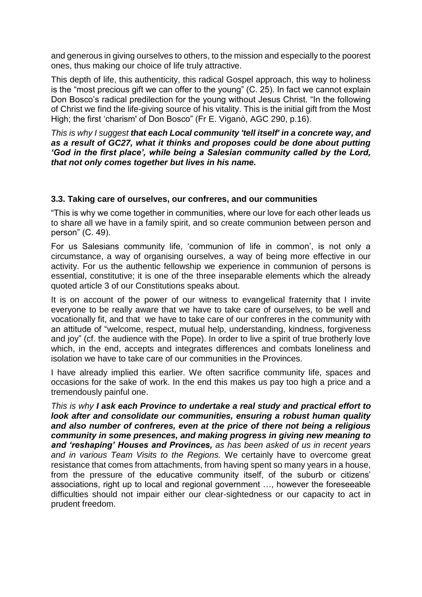and generous in giving ourselves to others, to the mission and especially to the poorest ones, thus making our choice of life truly attractive.

This depth of life, this authenticity, this radical Gospel approach, this way to holiness is the "most precious gift we can offer to the young" (C. 25). In fact we cannot explain Don Bosco's radical predilection for the young without Jesus Christ. "In the following of Christ we find the life-giving source of his vitality. This is the initial gift from the Most High; the first 'charism' of Don Bosco" (Fr E. Viganò, AGC 290, p.16).

*This is why I suggest that each Local community 'tell itself' in a concrete way, and as a result of GC27, what it thinks and proposes could be done about putting 'God in the first place', while being a Salesian community called by the Lord, that not only comes together but lives in his name.*

#### **3.3. Taking care of ourselves, our confreres, and our communities**

"This is why we come together in communities, where our love for each other leads us to share all we have in a family spirit, and so create communion between person and person" (C. 49).

For us Salesians community life, 'communion of life in common', is not only a circumstance, a way of organising ourselves, a way of being more effective in our activity. For us the authentic fellowship we experience in communion of persons is essential, constitutive; it is one of the three inseparable elements which the already quoted article 3 of our Constitutions speaks about.

It is on account of the power of our witness to evangelical fraternity that I invite everyone to be really aware that we have to take care of ourselves, to be well and vocationally fit, and that we have to take care of our confreres in the community with an attitude of "welcome, respect, mutual help, understanding, kindness, forgiveness and joy" (cf. the audience with the Pope). In order to live a spirit of true brotherly love which, in the end, accepts and integrates differences and combats loneliness and isolation we have to take care of our communities in the Provinces.

I have already implied this earlier. We often sacrifice community life, spaces and occasions for the sake of work. In the end this makes us pay too high a price and a tremendously painful one.

*This is why I ask each Province to undertake a real study and practical effort to look after and consolidate our communities, ensuring a robust human quality and also number of confreres, even at the price of there not being a religious community in some presences, and making progress in giving new meaning to and 'reshaping' Houses and Provinces, as has been asked of us in recent years and in various Team Visits to the Regions.* We certainly have to overcome great resistance that comes from attachments, from having spent so many years in a house, from the pressure of the educative community itself, of the suburb or citizens' associations, right up to local and regional government …, however the foreseeable difficulties should not impair either our clear-sightedness or our capacity to act in prudent freedom.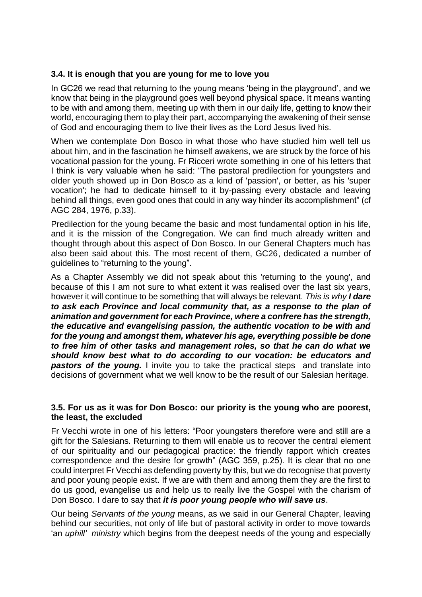#### **3.4. It is enough that you are young for me to love you**

In GC26 we read that returning to the young means 'being in the playground', and we know that being in the playground goes well beyond physical space. It means wanting to be with and among them, meeting up with them in our daily life, getting to know their world, encouraging them to play their part, accompanying the awakening of their sense of God and encouraging them to live their lives as the Lord Jesus lived his.

When we contemplate Don Bosco in what those who have studied him well tell us about him, and in the fascination he himself awakens, we are struck by the force of his vocational passion for the young. Fr Ricceri wrote something in one of his letters that I think is very valuable when he said: "The pastoral predilection for youngsters and older youth showed up in Don Bosco as a kind of 'passion', or better, as his 'super vocation'; he had to dedicate himself to it by-passing every obstacle and leaving behind all things, even good ones that could in any way hinder its accomplishment" (cf AGC 284, 1976, p.33).

Predilection for the young became the basic and most fundamental option in his life, and it is the mission of the Congregation. We can find much already written and thought through about this aspect of Don Bosco. In our General Chapters much has also been said about this. The most recent of them, GC26, dedicated a number of guidelines to "returning to the young".

As a Chapter Assembly we did not speak about this 'returning to the young', and because of this I am not sure to what extent it was realised over the last six years, however it will continue to be something that will always be relevant. *This is why I dare to ask each Province and local community that, as a response to the plan of animation and government for each Province, where a confrere has the strength, the educative and evangelising passion, the authentic vocation to be with and for the young and amongst them, whatever his age, everything possible be done to free him of other tasks and management roles, so that he can do what we should know best what to do according to our vocation: be educators and*  **pastors of the young.** I invite you to take the practical steps and translate into decisions of government what we well know to be the result of our Salesian heritage.

#### **3.5. For us as it was for Don Bosco: our priority is the young who are poorest, the least, the excluded**

Fr Vecchi wrote in one of his letters: "Poor youngsters therefore were and still are a gift for the Salesians. Returning to them will enable us to recover the central element of our spirituality and our pedagogical practice: the friendly rapport which creates correspondence and the desire for growth" (AGC 359, p.25). It is clear that no one could interpret Fr Vecchi as defending poverty by this, but we do recognise that poverty and poor young people exist. If we are with them and among them they are the first to do us good, evangelise us and help us to really live the Gospel with the charism of Don Bosco. I dare to say that *it is poor young people who will save us*.

Our being *Servants of the young* means, as we said in our General Chapter, leaving behind our securities, not only of life but of pastoral activity in order to move towards 'an *uphill' ministry* which begins from the deepest needs of the young and especially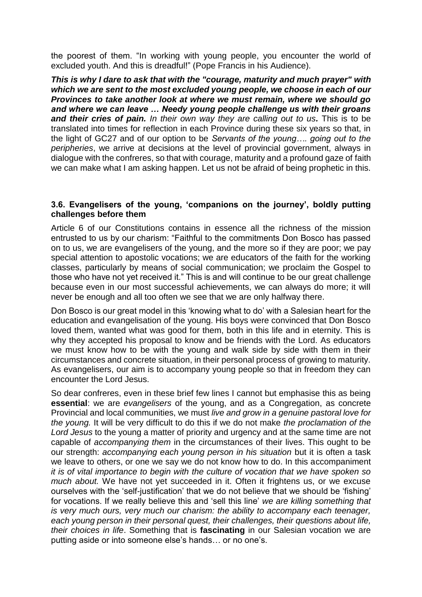the poorest of them. "In working with young people, you encounter the world of excluded youth. And this is dreadful!" (Pope Francis in his Audience).

*This is why I dare to ask that with the "courage, maturity and much prayer" with which we are sent to the most excluded young people, we choose in each of our Provinces to take another look at where we must remain, where we should go and where we can leave … Needy young people challenge us with their groans and their cries of pain. In their own way they are calling out to us.* This is to be translated into times for reflection in each Province during these six years so that, in the light of GC27 and of our option to be *Servants of the young…. going out to the peripheries*, we arrive at decisions at the level of provincial government, always in dialogue with the confreres, so that with courage, maturity and a profound gaze of faith we can make what I am asking happen. Let us not be afraid of being prophetic in this.

#### **3.6. Evangelisers of the young, 'companions on the journey', boldly putting challenges before them**

Article 6 of our Constitutions contains in essence all the richness of the mission entrusted to us by our charism: "Faithful to the commitments Don Bosco has passed on to us, we are evangelisers of the young, and the more so if they are poor; we pay special attention to apostolic vocations; we are educators of the faith for the working classes, particularly by means of social communication; we proclaim the Gospel to those who have not yet received it." This is and will continue to be our great challenge because even in our most successful achievements, we can always do more; it will never be enough and all too often we see that we are only halfway there.

Don Bosco is our great model in this 'knowing what to do' with a Salesian heart for the education and evangelisation of the young. His boys were convinced that Don Bosco loved them, wanted what was good for them, both in this life and in eternity. This is why they accepted his proposal to know and be friends with the Lord. As educators we must know how to be with the young and walk side by side with them in their circumstances and concrete situation, in their personal process of growing to maturity. As evangelisers, our aim is to accompany young people so that in freedom they can encounter the Lord Jesus.

So dear confreres, even in these brief few lines I cannot but emphasise this as being **essential**: we are *evangelisers* of the young, and as a Congregation, as concrete Provincial and local communities, we must *live and grow in a genuine pastoral love for the young.* It will be very difficult to do this if we do not make *the proclamation of th*e *Lord Jesus* to the young a matter of priority and urgency and at the same time are not capable of *accompanying them* in the circumstances of their lives. This ought to be our strength: *accompanying each young person in his situation* but it is often a task we leave to others, or one we say we do not know how to do. In this accompaniment *it is of vital importance to begin with the culture of vocation that we have spoken so much about.* We have not yet succeeded in it. Often it frightens us, or we excuse ourselves with the 'self-justification' that we do not believe that we should be 'fishing' for vocations. If we really believe this and 'sell this line' *we are killing something that is very much ours, very much our charism: the ability to accompany each teenager, each young person in their personal quest, their challenges, their questions about life, their choices in life*. Something that is **fascinating** in our Salesian vocation we are putting aside or into someone else's hands… or no one's.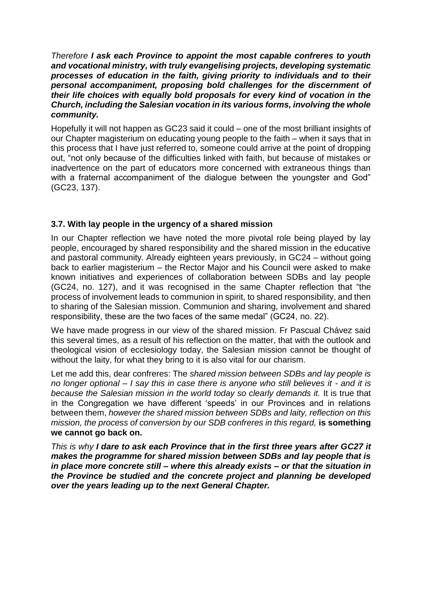*Therefore I ask each Province to appoint the most capable confreres to youth and vocational ministry, with truly evangelising projects, developing systematic processes of education in the faith, giving priority to individuals and to their personal accompaniment, proposing bold challenges for the discernment of their life choices with equally bold proposals for every kind of vocation in the Church, including the Salesian vocation in its various forms, involving the whole community.* 

Hopefully it will not happen as GC23 said it could – one of the most brilliant insights of our Chapter magisterium on educating young people to the faith – when it says that in this process that I have just referred to, someone could arrive at the point of dropping out, "not only because of the difficulties linked with faith, but because of mistakes or inadvertence on the part of educators more concerned with extraneous things than with a fraternal accompaniment of the dialogue between the youngster and God" (GC23, 137).

#### **3.7. With lay people in the urgency of a shared mission**

In our Chapter reflection we have noted the more pivotal role being played by lay people, encouraged by shared responsibility and the shared mission in the educative and pastoral community. Already eighteen years previously, in GC24 – without going back to earlier magisterium – the Rector Major and his Council were asked to make known initiatives and experiences of collaboration between SDBs and lay people (GC24, no. 127), and it was recognised in the same Chapter reflection that "the process of involvement leads to communion in spirit, to shared responsibility, and then to sharing of the Salesian mission. Communion and sharing, involvement and shared responsibility, these are the two faces of the same medal" (GC24, no. 22).

We have made progress in our view of the shared mission. Fr Pascual Chávez said this several times, as a result of his reflection on the matter, that with the outlook and theological vision of ecclesiology today, the Salesian mission cannot be thought of without the laity, for what they bring to it is also vital for our charism.

Let me add this, dear confreres: The *shared mission between SDBs and lay people is no longer optional – I say this in case there is anyone who still believes it - and it is*  because the Salesian mission in the world today so clearly demands it. It is true that in the Congregation we have different 'speeds' in our Provinces and in relations between them, *however the shared mission between SDBs and laity, reflection on this mission, the process of conversion by our SDB confreres in this regard, is something* **we cannot go back on.** 

*This is why I dare to ask each Province that in the first three years after GC27 it makes the programme for shared mission between SDBs and lay people that is in place more concrete still – where this already exists – or that the situation in the Province be studied and the concrete project and planning be developed over the years leading up to the next General Chapter.*